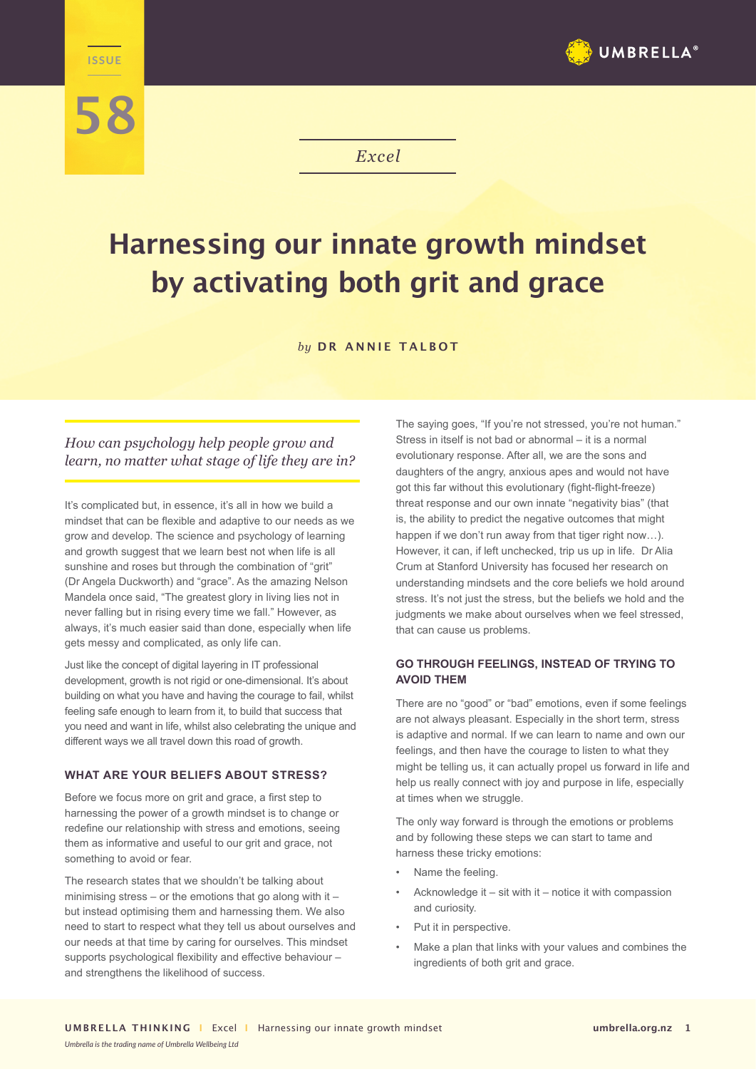

**58**



*Excel*

# **Harnessing our innate growth mindset by activating both grit and grace**

*by* **DR ANNIE TALBOT**

# *How can psychology help people grow and learn, no matter what stage of life they are in?*

It's complicated but, in essence, it's all in how we build a mindset that can be flexible and adaptive to our needs as we grow and develop. The science and psychology of learning and growth suggest that we learn best not when life is all sunshine and roses but through the combination of "grit" (Dr Angela Duckworth) and "grace". As the amazing Nelson Mandela once said, "The greatest glory in living lies not in never falling but in rising every time we fall." However, as always, it's much easier said than done, especially when life gets messy and complicated, as only life can.

Just like the concept of digital layering in IT professional development, growth is not rigid or one-dimensional. It's about building on what you have and having the courage to fail, whilst feeling safe enough to learn from it, to build that success that you need and want in life, whilst also celebrating the unique and different ways we all travel down this road of growth.

#### **WHAT ARE YOUR BELIEFS ABOUT STRESS?**

Before we focus more on grit and grace, a first step to harnessing the power of a growth mindset is to change or redefine our relationship with stress and emotions, seeing them as informative and useful to our grit and grace, not something to avoid or fear.

The research states that we shouldn't be talking about minimising stress – or the emotions that go along with it – but instead optimising them and harnessing them. We also need to start to respect what they tell us about ourselves and our needs at that time by caring for ourselves. This mindset supports psychological flexibility and effective behaviour – and strengthens the likelihood of success.

The saying goes, "If you're not stressed, you're not human." Stress in itself is not bad or abnormal – it is a normal evolutionary response. After all, we are the sons and daughters of the angry, anxious apes and would not have got this far without this evolutionary (fight-flight-freeze) threat response and our own innate "negativity bias" (that is, the ability to predict the negative outcomes that might happen if we don't run away from that tiger right now…). However, it can, if left unchecked, trip us up in life. Dr Alia Crum at Stanford University has focused her research on understanding mindsets and the core beliefs we hold around stress. It's not just the stress, but the beliefs we hold and the judgments we make about ourselves when we feel stressed, that can cause us problems.

#### **GO THROUGH FEELINGS, INSTEAD OF TRYING TO AVOID THEM**

There are no "good" or "bad" emotions, even if some feelings are not always pleasant. Especially in the short term, stress is adaptive and normal. If we can learn to name and own our feelings, and then have the courage to listen to what they might be telling us, it can actually propel us forward in life and help us really connect with joy and purpose in life, especially at times when we struggle.

The only way forward is through the emotions or problems and by following these steps we can start to tame and harness these tricky emotions:

- Name the feeling.
- Acknowledge it  $-$  sit with it  $-$  notice it with compassion and curiosity.
- Put it in perspective.
- Make a plan that links with your values and combines the ingredients of both grit and grace.